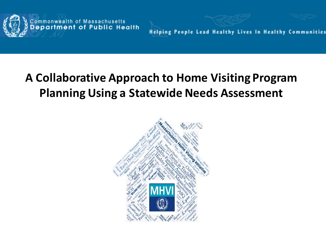

**Helping People Lead Healthy Lives In Healthy Communities** 

### **A Collaborative Approach to Home Visiting Program Planning Using a Statewide Needs Assessment**

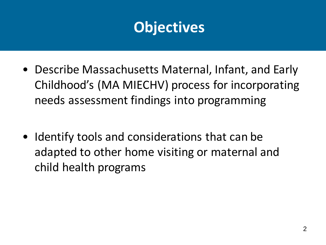### **Objectives**

- Describe Massachusetts Maternal, Infant, and Early Childhood's (MA MIECHV) process for incorporating needs assessment findings into programming
- Identify tools and considerations that can be adapted to other home visiting or maternal and child health programs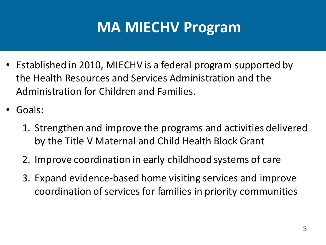### **MA MIECHV Program**

- Established in 2010, MIECHV is a federal program supported by the Health Resources and Services Administration and the Administration for Children and Families.
- Goals:
	- 1. Strengthen and improve the programs and activities delivered by the Title V Maternal and Child Health Block Grant
	- 2. Improve coordination in early childhood systems of care
	- 3. Expand evidence-based home visiting services and improve coordination of services for families in priority communities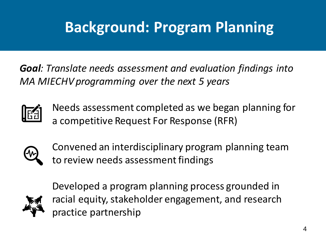## **Background: Program Planning**

*Goal: Translate needs assessment and evaluation findings into MA MIECHV programming over the next 5 years* 



Needs assessment completed as we began planning for a competitive Request For Response (RFR)



Convened an interdisciplinary program planning team to review needs assessment findings



Developed a program planning process grounded in racial equity, stakeholder engagement, and research practice partnership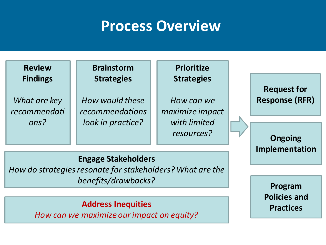### **Process Overview**

**Review Findings**

*What are key recommendati ons?*

#### **Brainstorm Strategies**

*How would these recommendations look in practice?*

#### **Prioritize Strategies**

*How can we maximize impact with limited resources?*

**Request for Response (RFR)** 

**Ongoing Implementation**

#### **Engage Stakeholders**

*How do strategies resonate for stakeholders? What are the benefits/drawbacks?* 

#### **Address Inequities**

*How can we maximize our impact on equity?*

**Program Policies and Practices**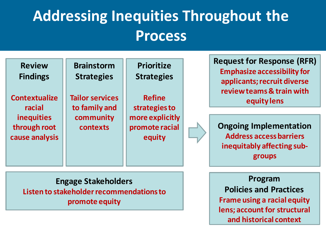## **Addressing Inequities Throughout the Process**

**Review Findings**

**Contextualize racial inequities through root cause analysis** **Brainstorm Strategies**

**Tailor services to family and community contexts**

**Prioritize Strategies**

**Refine strategies to more explicitly promote racial equity**

**Request for Response (RFR) Emphasize accessibility for applicants; recruit diverse review teams & train with equity lens**

**Ongoing Implementation Address access barriers inequitably affecting subgroups**

**Engage Stakeholders Listen to stakeholder recommendations to promote equity**

**Program Policies and Practices Frame using a racial equity lens; account for structural and historical context**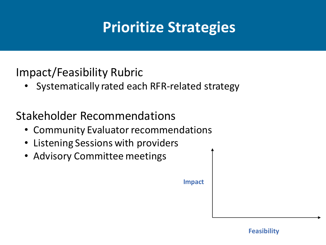## **Prioritize Strategies**

### Impact/Feasibility Rubric

• Systematically rated each RFR-related strategy

### Stakeholder Recommendations

- Community Evaluator recommendations
- Listening Sessions with providers
- Advisory Committee meetings

**Impact**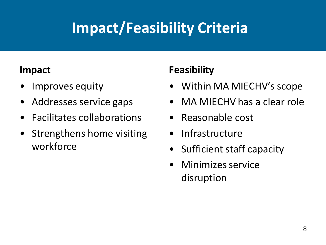## **Impact/Feasibility Criteria**

#### **Impact**

- Improves equity
- Addresses service gaps
- Facilitates collaborations
- Strengthens home visiting workforce

### **Feasibility**

- Within MA MIECHV's scope
- MA MIECHV has a clear role
- Reasonable cost
- Infrastructure
- Sufficient staff capacity
- Minimizes service disruption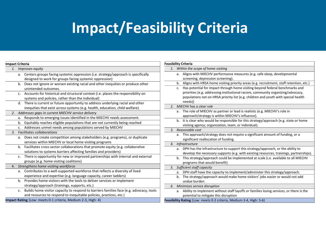## **Impact/Feasibility Criteria**

| <b>Impact Criteria</b> |                                   |                                                                                         |  |  |
|------------------------|-----------------------------------|-----------------------------------------------------------------------------------------|--|--|
|                        |                                   | 1. Improves equity                                                                      |  |  |
|                        | a.                                | Centers groups facing systemic oppression (i.e. strategy/approach is specifically       |  |  |
|                        |                                   | designed to work for groups facing systemic oppression)                                 |  |  |
|                        | b.                                | Does not ignore or worsen existing racial and other inequities or produce other         |  |  |
|                        |                                   | unintended outcomes.                                                                    |  |  |
|                        | c.                                | Accounts for historical and structural context (i.e. places the responsibility on       |  |  |
|                        |                                   | systems and policies, rather than the individual)                                       |  |  |
|                        | d.                                | There is current or future opportunity to address underlying racial and other           |  |  |
|                        |                                   | inequities that exist across systems (e.g. health, education, child welfare).           |  |  |
| 2.                     |                                   | Addresses gaps in current MIECHV service delivery                                       |  |  |
|                        | a.                                | Responds to emerging issues identified in the MIECHV needs assessment.                  |  |  |
|                        | b.                                | Equitably reaches eligible populations that are not currently being reached             |  |  |
|                        | c.                                | Addresses unmet needs among populations served by MIECHV                                |  |  |
| 3.                     | <b>Facilitates collaborations</b> |                                                                                         |  |  |
|                        | a.                                | Does not create competition among stakeholders (e.g. programs), or duplicate            |  |  |
|                        |                                   | services within MIECHV or local home visiting programs                                  |  |  |
|                        | b.                                | Facilitates cross-sector collaborations that promote equity (e.g. collaborative         |  |  |
|                        |                                   | solutions to systems barriers affecting families and providers)                         |  |  |
|                        | c.                                | There is opportunity for new or improved partnerships with internal and external        |  |  |
|                        |                                   | groups (e.g. home visiting coalitions)                                                  |  |  |
| 4.                     |                                   | Strengthens home visiting workforce                                                     |  |  |
|                        | a.                                | Contributes to a well-supported workforce that reflects a diversity of lived            |  |  |
|                        |                                   | experience and expertise (e.g. language capacity, career ladders)                       |  |  |
|                        | b.                                | Provides home visitors with the tools to deliver services or implement                  |  |  |
|                        |                                   | strategy/approach (trainings, supports, etc.)                                           |  |  |
|                        | c.                                | Builds home visitor capacity to respond to barriers families face (e.g. advocacy, tools |  |  |
|                        |                                   | and resources to respond to inequitable policies, practices, etc.)                      |  |  |
|                        |                                   | Impact Rating (Low: meets 0-1 criteria, Medium 2-3, High: 4)                            |  |  |

| <b>Feasibility Criteria</b> |                                    |                                                                                                                                  |  |  |  |
|-----------------------------|------------------------------------|----------------------------------------------------------------------------------------------------------------------------------|--|--|--|
| 1.                          | Within the scope of home visiting  |                                                                                                                                  |  |  |  |
|                             | a.                                 | Aligns with MIECHV performance measures (e.g. safe sleep, developmental                                                          |  |  |  |
|                             |                                    | screening, depression screening).                                                                                                |  |  |  |
|                             | b.                                 | Aligns with HRSA home visiting priority areas (e.g. recruitment, staff retention, etc.)                                          |  |  |  |
|                             | c.                                 | Has potential for impact through home visiting beyond federal benchmarks and                                                     |  |  |  |
|                             |                                    | priorities (e.g. addressing institutional racism, community organizing/advocacy,                                                 |  |  |  |
|                             |                                    | populations not on HRSA priority list (e.g. children and youth with special health<br>needs))                                    |  |  |  |
| 2.                          | MIECHV has a clear role            |                                                                                                                                  |  |  |  |
|                             |                                    | a. The role of MIECHV as partner or lead is realistic (e.g. MIECHV's role in                                                     |  |  |  |
|                             |                                    | approach/strategy is within MIECHV's influence).                                                                                 |  |  |  |
|                             | b.                                 | It is clear who would be responsible for this strategy/approach (e.g. state or home                                              |  |  |  |
|                             |                                    | visiting agency; organization, team, or individual).                                                                             |  |  |  |
| 3.                          |                                    | Reasonable cost                                                                                                                  |  |  |  |
|                             | а.                                 | This approach/strategy does not require a significant amount of funding, or a                                                    |  |  |  |
|                             |                                    | significant reallocation of funding.                                                                                             |  |  |  |
| 4.                          | Infrastructure                     |                                                                                                                                  |  |  |  |
|                             | a.                                 | DPH has the infrastructure to support this strategy/approach, or the ability to                                                  |  |  |  |
|                             |                                    | develop the necessary supports (e.g. with existing resources, trainings, partnerships).                                          |  |  |  |
|                             | b.                                 | This strategy/approach could be implemented at scale (i.e. available to all MIECHV                                               |  |  |  |
|                             |                                    | programs that would benefit)                                                                                                     |  |  |  |
| 5.                          |                                    | Sufficient staff capacity                                                                                                        |  |  |  |
|                             | a.                                 | DPH staff have the capacity to implement/administer this strategy/approach.                                                      |  |  |  |
|                             | b.                                 | The strategy/approach would make home visitors' jobs easier or would not add                                                     |  |  |  |
|                             |                                    | undue burden.                                                                                                                    |  |  |  |
|                             | Minimizes service disruption<br>6. |                                                                                                                                  |  |  |  |
|                             | а.                                 | Ability to implement without staff layoffs or families losing services, or there is the<br>potential to mitigate this disruption |  |  |  |
|                             |                                    | Feasibility Rating (Low: meets 0-2 criteria, Medium 3-4, High: 5-6)                                                              |  |  |  |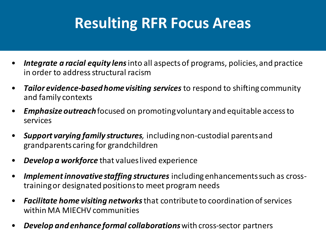## **Resulting RFR Focus Areas**

- *Integrate a racial equity lens*into all aspects of programs, policies, and practice in order to address structural racism
- *Tailor evidence-based home visiting services*to respond to shifting community and family contexts
- *Emphasize outreach* focused on promoting voluntary and equitable access to services
- *Support varying family structures,* including non-custodial parents and grandparents caring for grandchildren
- *Develop a workforce* that values lived experience
- *Implement innovative staffing structures* including enhancements such as crosstraining or designated positions to meet program needs
- *Facilitate home visiting networks*that contribute to coordination of services within MA MIECHV communities
- *Develop and enhance formal collaborations*with cross-sector partners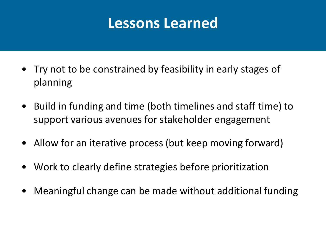### **Lessons Learned**

- Try not to be constrained by feasibility in early stages of planning
- Build in funding and time (both timelines and staff time) to support various avenues for stakeholder engagement
- Allow for an iterative process (but keep moving forward)
- Work to clearly define strategies before prioritization
- Meaningful change can be made without additional funding